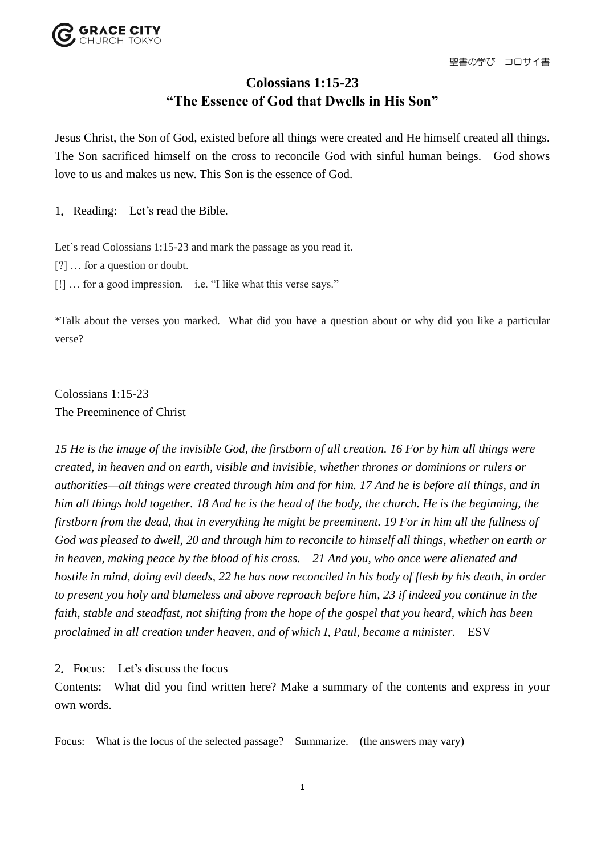

## **Colossians 1:15-23 "The Essence of God that Dwells in His Son"**

Jesus Christ, the Son of God, existed before all things were created and He himself created all things. The Son sacrificed himself on the cross to reconcile God with sinful human beings. God shows love to us and makes us new. This Son is the essence of God.

1.Reading: Let's read the Bible.

Let's read Colossians 1:15-23 and mark the passage as you read it.

[?] … for a question or doubt.

[!] … for a good impression. i.e. "I like what this verse says."

\*Talk about the verses you marked. What did you have a question about or why did you like a particular verse?

Colossians 1:15-23 The Preeminence of Christ

*15 He is the image of the invisible God, the firstborn of all creation. 16 For by him all things were created, in heaven and on earth, visible and invisible, whether thrones or dominions or rulers or authorities—all things were created through him and for him. 17 And he is before all things, and in him all things hold together. 18 And he is the head of the body, the church. He is the beginning, the firstborn from the dead, that in everything he might be preeminent. 19 For in him all the fullness of God was pleased to dwell, 20 and through him to reconcile to himself all things, whether on earth or in heaven, making peace by the blood of his cross. 21 And you, who once were alienated and hostile in mind, doing evil deeds, 22 he has now reconciled in his body of flesh by his death, in order to present you holy and blameless and above reproach before him, 23 if indeed you continue in the faith, stable and steadfast, not shifting from the hope of the gospel that you heard, which has been proclaimed in all creation under heaven, and of which I, Paul, became a minister.* ESV

2.Focus: Let's discuss the focus

Contents: What did you find written here? Make a summary of the contents and express in your own words.

Focus: What is the focus of the selected passage? Summarize. (the answers may vary)